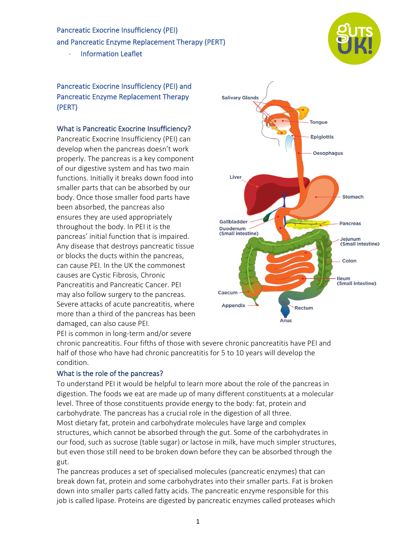Pancreatic Exocrine Insufficiency (PEI) and Pancreatic Enzyme Replacement Therapy (PERT)

- Information Leaflet

Pancreatic Exocrine Insufficiency (PEI) and Pancreatic Enzyme Replacement Therapy (PERT)

#### What is Pancreatic Exocrine Insufficiency?

Pancreatic Exocrine Insufficiency (PEI) can develop when the pancreas doesn't work properly. The pancreas is a key component of our digestive system and has two main functions. Initially it breaks down food into smaller parts that can be absorbed by our body. Once those smaller food parts have been absorbed, the pancreas also ensures they are used appropriately throughout the body. In PEI it is the pancreas' initial function that is impaired. Any disease that destroys pancreatic tissue or blocks the ducts within the pancreas, can cause PEI. In the UK the commonest causes are Cystic Fibrosis, Chronic Pancreatitis and Pancreatic Cancer. PEI may also follow surgery to the pancreas. Severe attacks of acute pancreatitis, where more than a third of the pancreas has been damaged, can also cause PEI. PEI is common in long-term and/or severe



chronic pancreatitis. Four fifths of those with severe chronic pancreatitis have PEI and half of those who have had chronic pancreatitis for 5 to 10 years will develop the condition.

## What is the role of the pancreas?

To understand PEI it would be helpful to learn more about the role of the pancreas in digestion. The foods we eat are made up of many different constituents at a molecular level. Three of those constituents provide energy to the body: fat, protein and carbohydrate. The pancreas has a crucial role in the digestion of all three. Most dietary fat, protein and carbohydrate molecules have large and complex structures, which cannot be absorbed through the gut. Some of the carbohydrates in our food, such as sucrose (table sugar) or lactose in milk, have much simpler structures, but even those still need to be broken down before they can be absorbed through the gut.

The pancreas produces a set of specialised molecules (pancreatic enzymes) that can break down fat, protein and some carbohydrates into their smaller parts. Fat is broken down into smaller parts called fatty acids. The pancreatic enzyme responsible for this job is called lipase. Proteins are digested by pancreatic enzymes called proteases which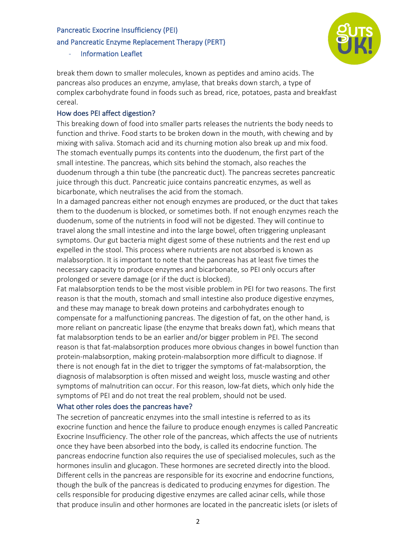#### and Pancreatic Enzyme Replacement Therapy (PERT)

- Information Leaflet



break them down to smaller molecules, known as peptides and amino acids. The pancreas also produces an enzyme, amylase, that breaks down starch, a type of complex carbohydrate found in foods such as bread, rice, potatoes, pasta and breakfast cereal.

## How does PEI affect digestion?

This breaking down of food into smaller parts releases the nutrients the body needs to function and thrive. Food starts to be broken down in the mouth, with chewing and by mixing with saliva. Stomach acid and its churning motion also break up and mix food. The stomach eventually pumps its contents into the duodenum, the first part of the small intestine. The pancreas, which sits behind the stomach, also reaches the duodenum through a thin tube (the pancreatic duct). The pancreas secretes pancreatic juice through this duct. Pancreatic juice contains pancreatic enzymes, as well as bicarbonate, which neutralises the acid from the stomach.

In a damaged pancreas either not enough enzymes are produced, or the duct that takes them to the duodenum is blocked, or sometimes both. If not enough enzymes reach the duodenum, some of the nutrients in food will not be digested. They will continue to travel along the small intestine and into the large bowel, often triggering unpleasant symptoms. Our gut bacteria might digest some of these nutrients and the rest end up expelled in the stool. This process where nutrients are not absorbed is known as malabsorption. It is important to note that the pancreas has at least five times the necessary capacity to produce enzymes and bicarbonate, so PEI only occurs after prolonged or severe damage (or if the duct is blocked).

Fat malabsorption tends to be the most visible problem in PEI for two reasons. The first reason is that the mouth, stomach and small intestine also produce digestive enzymes, and these may manage to break down proteins and carbohydrates enough to compensate for a malfunctioning pancreas. The digestion of fat, on the other hand, is more reliant on pancreatic lipase (the enzyme that breaks down fat), which means that fat malabsorption tends to be an earlier and/or bigger problem in PEI. The second reason is that fat-malabsorption produces more obvious changes in bowel function than protein-malabsorption, making protein-malabsorption more difficult to diagnose. If there is not enough fat in the diet to trigger the symptoms of fat-malabsorption, the diagnosis of malabsorption is often missed and weight loss, muscle wasting and other symptoms of malnutrition can occur. For this reason, low-fat diets, which only hide the symptoms of PEI and do not treat the real problem, should not be used.

## What other roles does the pancreas have?

The secretion of pancreatic enzymes into the small intestine is referred to as its exocrine function and hence the failure to produce enough enzymes is called Pancreatic Exocrine Insufficiency. The other role of the pancreas, which affects the use of nutrients once they have been absorbed into the body, is called its endocrine function. The pancreas endocrine function also requires the use of specialised molecules, such as the hormones insulin and glucagon. These hormones are secreted directly into the blood. Different cells in the pancreas are responsible for its exocrine and endocrine functions, though the bulk of the pancreas is dedicated to producing enzymes for digestion. The cells responsible for producing digestive enzymes are called acinar cells, while those that produce insulin and other hormones are located in the pancreatic islets (or islets of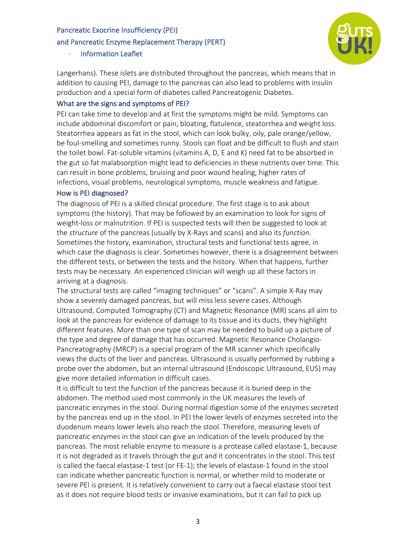#### and Pancreatic Enzyme Replacement Therapy (PERT)



- Information Leaflet

Langerhans). These islets are distributed throughout the pancreas, which means that in addition to causing PEI, damage to the pancreas can also lead to problems with insulin production and a special form of diabetes called Pancreatogenic Diabetes.

## What are the signs and symptoms of PEI?

PEI can take time to develop and at first the symptoms might be mild. Symptoms can include abdominal discomfort or pain, bloating, flatulence, steatorrhea and weight loss. Steatorrhea appears as fat in the stool, which can look bulky, oily, pale orange/yellow, be foul-smelling and sometimes runny. Stools can float and be difficult to flush and stain the toilet bowl. Fat-soluble vitamins (vitamins A, D, E and K) need fat to be absorbed in the gut so fat malabsorption might lead to deficiencies in these nutrients over time. This can result in bone problems, bruising and poor wound healing, higher rates of infections, visual problems, neurological symptoms, muscle weakness and fatigue.

#### How is PEI diagnosed?

The diagnosis of PEI is a skilled clinical procedure. The first stage is to ask about symptoms (the history). That may be followed by an examination to look for signs of weight-loss or malnutrition. If PEI is suspected tests will then be suggested to look at the *structure* of the pancreas (usually by X-Rays and scans) and also its *function*. Sometimes the history, examination, structural tests and functional tests agree, in which case the diagnosis is clear. Sometimes however, there is a disagreement between the different tests, or between the tests and the history. When that happens, further tests may be necessary. An experienced clinician will weigh up all these factors in arriving at a diagnosis.

The structural tests are called "imaging techniques" or "scans". A simple X-Ray may show a severely damaged pancreas, but will miss less severe cases. Although Ultrasound, Computed Tomography (CT) and Magnetic Resonance (MR) scans all aim to look at the pancreas for evidence of damage to its tissue and its ducts, they highlight different features. More than one type of scan may be needed to build up a picture of the type and degree of damage that has occurred. Magnetic Resonance Cholangio-Pancreatography (MRCP) is a special program of the MR scanner which specifically views the ducts of the liver and pancreas. Ultrasound is usually performed by rubbing a probe over the abdomen, but an internal ultrasound (Endoscopic Ultrasound, EUS) may give more detailed information in difficult cases.

It is difficult to test the function of the pancreas because it is buried deep in the abdomen. The method used most commonly in the UK measures the levels of pancreatic enzymes in the stool. During normal digestion some of the enzymes secreted by the pancreas end up in the stool. In PEI the lower levels of enzymes secreted into the duodenum means lower levels also reach the stool. Therefore, measuring levels of pancreatic enzymes in the stool can give an indication of the levels produced by the pancreas. The most reliable enzyme to measure is a protease called elastase-1, because it is not degraded as it travels through the gut and it concentrates in the stool. This test is called the faecal elastase-1 test (or FE-1); the levels of elastase-1 found in the stool can indicate whether pancreatic function is normal, or whether mild to moderate or severe PEI is present. It is relatively convenient to carry out a faecal elastase stool test as it does not require blood tests or invasive examinations, but it can fail to pick up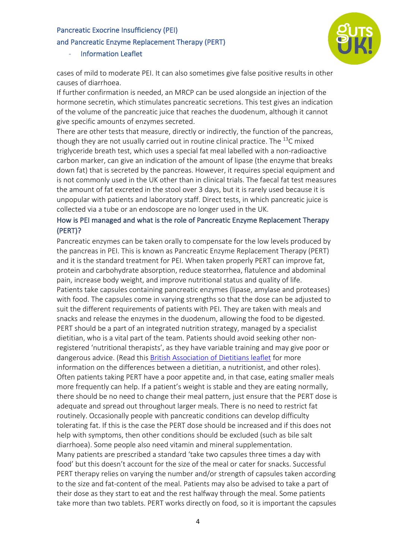#### and Pancreatic Enzyme Replacement Therapy (PERT)



- Information Leaflet

cases of mild to moderate PEI. It can also sometimes give false positive results in other causes of diarrhoea.

If further confirmation is needed, an MRCP can be used alongside an injection of the hormone secretin, which stimulates pancreatic secretions. This test gives an indication of the volume of the pancreatic juice that reaches the duodenum, although it cannot give specific amounts of enzymes secreted.

There are other tests that measure, directly or indirectly, the function of the pancreas, though they are not usually carried out in routine clinical practice. The  $^{13}$ C mixed triglyceride breath test, which uses a special fat meal labelled with a non-radioactive carbon marker, can give an indication of the amount of lipase (the enzyme that breaks down fat) that is secreted by the pancreas. However, it requires special equipment and is not commonly used in the UK other than in clinical trials. The faecal fat test measures the amount of fat excreted in the stool over 3 days, but it is rarely used because it is unpopular with patients and laboratory staff. Direct tests, in which pancreatic juice is collected via a tube or an endoscope are no longer used in the UK.

## How is PEI managed and what is the role of Pancreatic Enzyme Replacement Therapy (PERT)?

Pancreatic enzymes can be taken orally to compensate for the low levels produced by the pancreas in PEI. This is known as Pancreatic Enzyme Replacement Therapy (PERT) and it is the standard treatment for PEI. When taken properly PERT can improve fat, protein and carbohydrate absorption, reduce steatorrhea, flatulence and abdominal pain, increase body weight, and improve nutritional status and quality of life. Patients take capsules containing pancreatic enzymes (lipase, amylase and proteases) with food. The capsules come in varying strengths so that the dose can be adjusted to suit the different requirements of patients with PEI. They are taken with meals and snacks and release the enzymes in the duodenum, allowing the food to be digested. PERT should be a part of an integrated nutrition strategy, managed by a specialist dietitian, who is a vital part of the team. Patients should avoid seeking other nonregistered 'nutritional therapists', as they have variable training and may give poor or dangerous advice. (Read this British Association of Dietitians leaflet for more information on the differences between a dietitian, a nutritionist, and other roles). Often patients taking PERT have a poor appetite and, in that case, eating smaller meals more frequently can help. If a patient's weight is stable and they are eating normally, there should be no need to change their meal pattern, just ensure that the PERT dose is adequate and spread out throughout larger meals. There is no need to restrict fat routinely. Occasionally people with pancreatic conditions can develop difficulty tolerating fat. If this is the case the PERT dose should be increased and if this does not help with symptoms, then other conditions should be excluded (such as bile salt diarrhoea). Some people also need vitamin and mineral supplementation. Many patients are prescribed a standard 'take two capsules three times a day with food' but this doesn't account for the size of the meal or cater for snacks. Successful PERT therapy relies on varying the number and/or strength of capsules taken according to the size and fat-content of the meal. Patients may also be advised to take a part of their dose as they start to eat and the rest halfway through the meal. Some patients take more than two tablets. PERT works directly on food, so it is important the capsules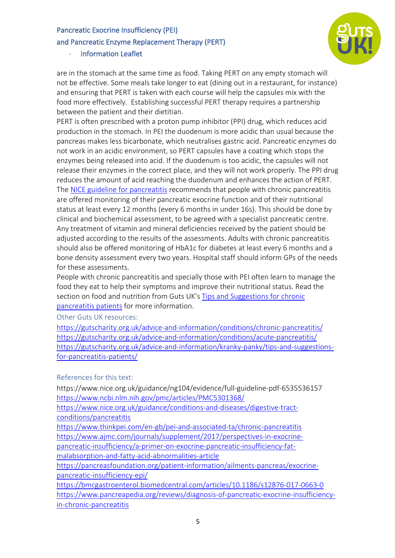### and Pancreatic Enzyme Replacement Therapy (PERT)

#### - Information Leaflet



are in the stomach at the same time as food. Taking PERT on any empty stomach will not be effective. Some meals take longer to eat (dining out in a restaurant, for instance) and ensuring that PERT is taken with each course will help the capsules mix with the food more effectively. Establishing successful PERT therapy requires a partnership between the patient and their dietitian.

PERT is often prescribed with a proton pump inhibitor (PPI) drug, which reduces acid production in the stomach. In PEI the duodenum is more acidic than usual because the pancreas makes less bicarbonate, which neutralises gastric acid. Pancreatic enzymes do not work in an acidic environment, so PERT capsules have a coating which stops the enzymes being released into acid. If the duodenum is too acidic, the capsules will not release their enzymes in the correct place, and they will not work properly. The PPI drug reduces the amount of acid reaching the duodenum and enhances the action of PERT. The NICE guideline for pancreatitis recommends that people with chronic pancreatitis are offered monitoring of their pancreatic exocrine function and of their nutritional status at least every 12 months (every 6 months in under 16s). This should be done by clinical and biochemical assessment, to be agreed with a specialist pancreatic centre. Any treatment of vitamin and mineral deficiencies received by the patient should be adjusted according to the results of the assessments. Adults with chronic pancreatitis should also be offered monitoring of HbA1c for diabetes at least every 6 months and a bone density assessment every two years. Hospital staff should inform GPs of the needs for these assessments.

People with chronic pancreatitis and specially those with PEI often learn to manage the food they eat to help their symptoms and improve their nutritional status. Read the section on food and nutrition from Guts UK's Tips and Suggestions for chronic pancreatitis patients for more information.

Other Guts UK resources:

https://gutscharity.org.uk/advice-and-information/conditions/chronic-pancreatitis/ https://gutscharity.org.uk/advice-and-information/conditions/acute-pancreatitis/ https://gutscharity.org.uk/advice-and-information/kranky-panky/tips-and-suggestionsfor-pancreatitis-patients/

## References for this text:

https://www.nice.org.uk/guidance/ng104/evidence/full-guideline-pdf-6535536157 https://www.ncbi.nlm.nih.gov/pmc/articles/PMC5301368/

https://www.nice.org.uk/guidance/conditions-and-diseases/digestive-tractconditions/pancreatitis

https://www.thinkpei.com/en-gb/pei-and-associated-ta/chronic-pancreatitis https://www.ajmc.com/journals/supplement/2017/perspectives-in-exocrinepancreatic-insufficiency/a-primer-on-exocrine-pancreatic-insufficiency-fatmalabsorption-and-fatty-acid-abnormalities-article

https://pancreasfoundation.org/patient-information/ailments-pancreas/exocrinepancreatic-insufficiency-epi/

https://bmcgastroenterol.biomedcentral.com/articles/10.1186/s12876-017-0663-0 https://www.pancreapedia.org/reviews/diagnosis-of-pancreatic-exocrine-insufficiencyin-chronic-pancreatitis